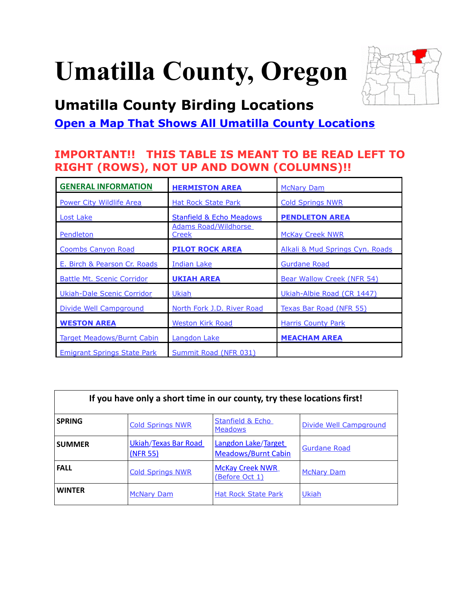# **Umatilla County, Oregon**



# <span id="page-0-0"></span>**Umatilla County Birding Locations**

### **[Open a Map That Shows All Umatilla County Locations](https://www.google.com/maps/d/edit?mid=zVl1oTDALjf4.k-saQkY26ayw&usp=sharing)**

### **IMPORTANT!! THIS TABLE IS MEANT TO BE READ LEFT TO RIGHT (ROWS), NOT UP AND DOWN (COLUMNS)!!**

| <b>GENERAL INFORMATION</b>         | <b>HERMISTON AREA</b>                                 | <b>McNary Dam</b>               |
|------------------------------------|-------------------------------------------------------|---------------------------------|
| Power City Wildlife Area           | <b>Hat Rock State Park</b><br><b>Cold Springs NWR</b> |                                 |
| Lost Lake                          | <b>Stanfield &amp; Echo Meadows</b>                   | <b>PENDLETON AREA</b>           |
| Pendleton                          | <b>Adams Road/Wildhorse</b><br>Creek                  | <b>McKay Creek NWR</b>          |
| <b>Coombs Canyon Road</b>          | <b>PILOT ROCK AREA</b>                                | Alkali & Mud Springs Cyn. Roads |
| E. Birch & Pearson Cr. Roads       | Indian Lake                                           | <b>Gurdane Road</b>             |
| <b>Battle Mt. Scenic Corridor</b>  | <b>UKIAH AREA</b>                                     | Bear Wallow Creek (NFR 54)      |
| Ukiah-Dale Scenic Corridor         | Ukiah                                                 | Ukiah-Albie Road (CR 1447)      |
| Divide Well Campground             | North Fork J.D. River Road                            | <u>Texas Bar Road (NFR 55)</u>  |
| <b>WESTON AREA</b>                 | <b>Weston Kirk Road</b>                               | <b>Harris County Park</b>       |
| <b>Target Meadows/Burnt Cabin</b>  | <b>Langdon Lake</b>                                   | <b>MEACHAM AREA</b>             |
| <b>Emigrant Springs State Park</b> | Summit Road (NFR 031)                                 |                                 |

| If you have only a short time in our county, try these locations first! |                                  |                                                   |                        |  |
|-------------------------------------------------------------------------|----------------------------------|---------------------------------------------------|------------------------|--|
| <b>SPRING</b>                                                           | <b>Cold Springs NWR</b>          | Stanfield & Echo<br><b>Meadows</b>                | Divide Well Campground |  |
| <b>SUMMER</b>                                                           | Ukiah/Texas Bar Road<br>(NFR 55) | Langdon Lake/Target<br><b>Meadows/Burnt Cabin</b> | <b>Gurdane Road</b>    |  |
| <b>FALL</b>                                                             | <b>Cold Springs NWR</b>          | <b>McKay Creek NWR</b><br>(Before Oct 1)          | <b>McNary Dam</b>      |  |
| <b>WINTER</b>                                                           | <b>McNary Dam</b>                | <b>Hat Rock State Park</b>                        | <b>Ukiah</b>           |  |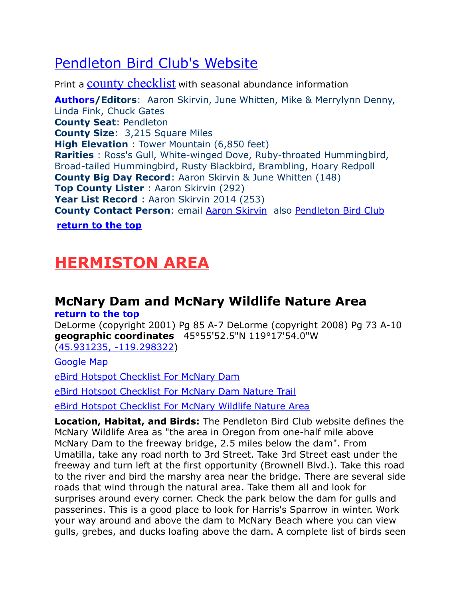## <span id="page-1-2"></span>[Pendleton Bird Club's Website](http://www.pendletonbirders.org/)

Print a [county checklist](http://www.pendletonbirders.org/PDF%20Files/Checklist%20of%20the%20Birds%20of%20Umatilla%20County%204-fold%20version%201-3-10%20.pdf) with seasonal abundance information

<span id="page-1-3"></span>**[Authors/](#page-1-3)Editors**: Aaron Skirvin, June Whitten, Mike & Merrylynn Denny, Linda Fink, Chuck Gates **County Seat**: Pendleton **County Size**: 3,215 Square Miles **High Elevation** : Tower Mountain (6,850 feet) **Rarities** : Ross's Gull, White-winged Dove, Ruby-throated Hummingbird, Broad-tailed Hummingbird, Rusty Blackbird, Brambling, Hoary Redpoll **County Big Day Record**: Aaron Skirvin & June Whitten (148) **Top County Lister** : Aaron Skirvin (292) **Year List Record** : Aaron Skirvin 2014 (253) **County Contact Person**: email [Aaron Skirvin](mailto:umatbirder@yahoo.com) also [Pendleton Bird Club](http://www.pendletonbirders.org/)

**[return to the top](#page-0-0)**

# <span id="page-1-1"></span>**HERMISTON AREA**

# <span id="page-1-0"></span>**McNary Dam and McNary Wildlife Nature Area**

**[return to the top](#page-0-0)**

DeLorme (copyright 2001) Pg 85 A-7 DeLorme (copyright 2008) Pg 73 A-10 **geographic coordinates** 45°55'52.5"N 119°17'54.0"W [\(45.931235, -119.298322\)](https://www.google.com/maps/place/45%C2%B055)

[Google Map](http://maps.google.com/maps/ms?hl=en&ie=UTF8&msa=0&msid=108036481085398338899.00047cc9297644db83967&ll=45.796255,-119.204407&spn=0.76215,2.113495&z=10)

[eBird Hotspot Checklist For McNary Dam](http://ebird.org/ebird/hotspot/L955080?yr=all&m=&rank=mrec)

[eBird Hotspot Checklist For McNary Dam Nature Trail](http://ebird.org/ebird/hotspot/L487269?yr=all&m=&rank=mrec)

[eBird Hotspot Checklist For McNary Wildlife Nature Area](http://ebird.org/ebird/hotspot/L3268672?yr=all&m=&rank=mrec)

**Location, Habitat, and Birds:** The Pendleton Bird Club website defines the McNary Wildlife Area as "the area in Oregon from one-half mile above McNary Dam to the freeway bridge, 2.5 miles below the dam". From Umatilla, take any road north to 3rd Street. Take 3rd Street east under the freeway and turn left at the first opportunity (Brownell Blvd.). Take this road to the river and bird the marshy area near the bridge. There are several side roads that wind through the natural area. Take them all and look for surprises around every corner. Check the park below the dam for gulls and passerines. This is a good place to look for Harris's Sparrow in winter. Work your way around and above the dam to McNary Beach where you can view gulls, grebes, and ducks loafing above the dam. A complete list of birds seen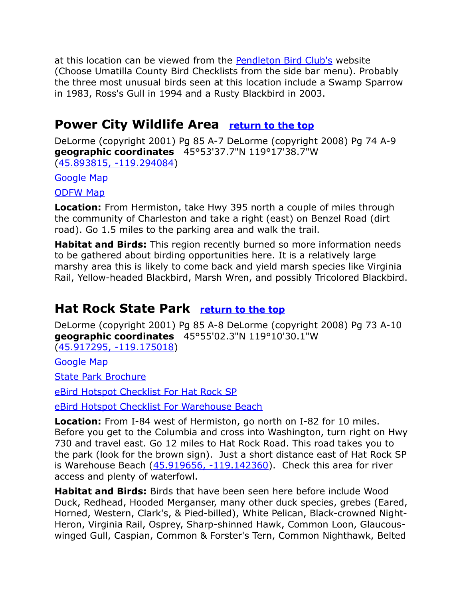at this location can be viewed from the **Pendleton Bird Club's** website (Choose Umatilla County Bird Checklists from the side bar menu). Probably the three most unusual birds seen at this location include a Swamp Sparrow in 1983, Ross's Gull in 1994 and a Rusty Blackbird in 2003.

### <span id="page-2-1"></span>**Power City Wildlife Area [return to the top](#page-0-0)**

DeLorme (copyright 2001) Pg 85 A-7 DeLorme (copyright 2008) Pg 74 A-9 **geographic coordinates** 45°53'37.7"N 119°17'38.7"W [\(45.893815, -119.294084\)](https://www.google.com/maps/place/45%C2%B053)

[Google Map](http://maps.google.com/maps/ms?hl=en&ie=UTF8&msa=0&msid=108036481085398338899.00047cc9297644db83967&ll=45.796255,-119.204407&spn=0.76215,2.113495&z=10)

[ODFW Map](http://www.dfw.state.or.us/resources/visitors/images/maps/power_city_2.jpg)

**Location:** From Hermiston, take Hwy 395 north a couple of miles through the community of Charleston and take a right (east) on Benzel Road (dirt road). Go 1.5 miles to the parking area and walk the trail.

**Habitat and Birds:** This region recently burned so more information needs to be gathered about birding opportunities here. It is a relatively large marshy area this is likely to come back and yield marsh species like Virginia Rail, Yellow-headed Blackbird, Marsh Wren, and possibly Tricolored Blackbird.

### <span id="page-2-0"></span>**Hat Rock State Park [return to the top](#page-0-0)**

DeLorme (copyright 2001) Pg 85 A-8 DeLorme (copyright 2008) Pg 73 A-10 **geographic coordinates** 45°55'02.3"N 119°10'30.1"W [\(45.917295, -119.175018\)](https://www.google.com/maps/place/45%C2%B055)

[Google Map](http://maps.google.com/maps/ms?hl=en&ie=UTF8&msa=0&msid=108036481085398338899.00047cc9297644db83967&ll=45.796255,-119.204407&spn=0.76215,2.113495&z=10)

[State Park Brochure](http://www.oregonstateparks.org/images/pdf/hat_rock.pdf)

[eBird Hotspot Checklist For Hat Rock SP](http://ebird.org/ebird/hotspot/L729368?yr=all&m=&rank=mrec)

[eBird Hotspot Checklist For Warehouse Beach](http://ebird.org/ebird/hotspot/L2420407?yr=all&m=&rank=mrec)

**Location:** From I-84 west of Hermiston, go north on I-82 for 10 miles. Before you get to the Columbia and cross into Washington, turn right on Hwy 730 and travel east. Go 12 miles to Hat Rock Road. This road takes you to the park (look for the brown sign). Just a short distance east of Hat Rock SP is Warehouse Beach  $(45.919656, -119.142360)$ . Check this area for river access and plenty of waterfowl.

**Habitat and Birds:** Birds that have been seen here before include Wood Duck, Redhead, Hooded Merganser, many other duck species, grebes (Eared, Horned, Western, Clark's, & Pied-billed), White Pelican, Black-crowned Night-Heron, Virginia Rail, Osprey, Sharp-shinned Hawk, Common Loon, Glaucouswinged Gull, Caspian, Common & Forster's Tern, Common Nighthawk, Belted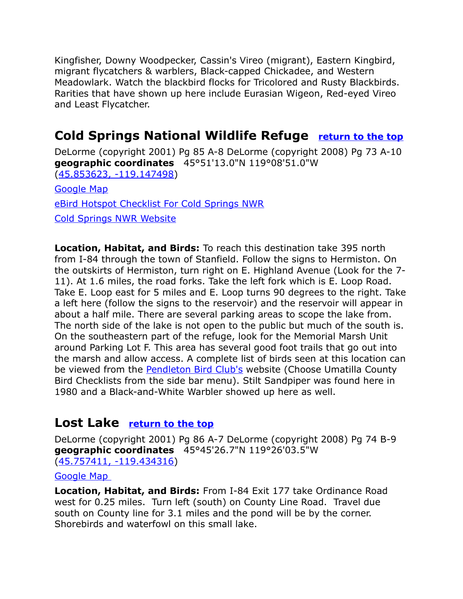Kingfisher, Downy Woodpecker, Cassin's Vireo (migrant), Eastern Kingbird, migrant flycatchers & warblers, Black-capped Chickadee, and Western Meadowlark. Watch the blackbird flocks for Tricolored and Rusty Blackbirds. Rarities that have shown up here include Eurasian Wigeon, Red-eyed Vireo and Least Flycatcher.

### <span id="page-3-0"></span>**Cold Springs National Wildlife Refuge [return to the top](#page-0-0)**

DeLorme (copyright 2001) Pg 85 A-8 DeLorme (copyright 2008) Pg 73 A-10 **geographic coordinates** 45°51'13.0"N 119°08'51.0"W [\(45.853623, -119.147498\)](https://www.google.com/maps/place/45%C2%B051) [Google Map](https://www.google.com/maps/d/u/0/viewer?mid=zVl1oTDALjf4.kOxtQcqB_czc&hl=en&ie=UTF8&msa=0&ll=45.796255%2C-119.204407&spn=0.76215%2C2.113495&z=10)

[eBird Hotspot Checklist For Cold Springs NWR](http://ebird.org/ebird/hotspot/L341405?yr=all&m=&rank=mrec)

[Cold Springs NWR Website](https://www.fws.gov/refuge/cold_springs/)

**Location, Habitat, and Birds:** To reach this destination take 395 north from I-84 through the town of Stanfield. Follow the signs to Hermiston. On the outskirts of Hermiston, turn right on E. Highland Avenue (Look for the 7- 11). At 1.6 miles, the road forks. Take the left fork which is E. Loop Road. Take E. Loop east for 5 miles and E. Loop turns 90 degrees to the right. Take a left here (follow the signs to the reservoir) and the reservoir will appear in about a half mile. There are several parking areas to scope the lake from. The north side of the lake is not open to the public but much of the south is. On the southeastern part of the refuge, look for the Memorial Marsh Unit around Parking Lot F. This area has several good foot trails that go out into the marsh and allow access. A complete list of birds seen at this location can be viewed from the **Pendleton Bird Club's** website (Choose Umatilla County Bird Checklists from the side bar menu). Stilt Sandpiper was found here in 1980 and a Black-and-White Warbler showed up here as well.

### <span id="page-3-2"></span><span id="page-3-1"></span>**Lost Lake [return to the top](#page-3-2)**

DeLorme (copyright 2001) Pg 86 A-7 DeLorme (copyright 2008) Pg 74 B-9 **geographic coordinates** 45°45'26.7"N 119°26'03.5"W [\(45.757411, -119.434316\)](https://www.google.com/maps/place/45%C2%B045)

#### [Google Map](http://maps.google.com/maps/ms?hl=en&ie=UTF8&msa=0&msid=108036481085398338899.00047cc9297644db83967&ll=45.796255,-119.204407&spn=0.76215,2.113495&z=10)

**Location, Habitat, and Birds:** From I-84 Exit 177 take Ordinance Road west for 0.25 miles. Turn left (south) on County Line Road. Travel due south on County line for 3.1 miles and the pond will be by the corner. Shorebirds and waterfowl on this small lake.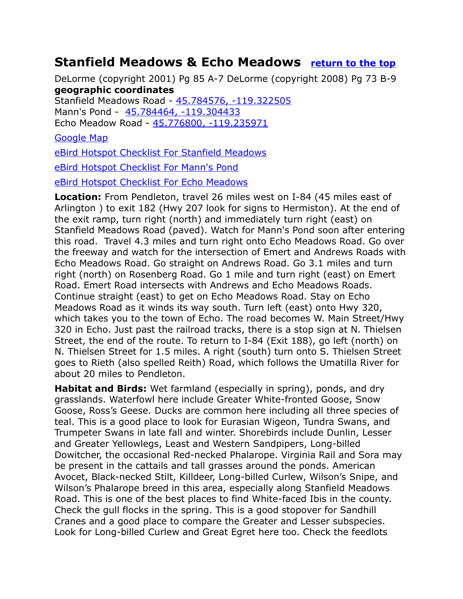### <span id="page-4-0"></span>**Stanfield Meadows & Echo Meadows [return to the top](#page-0-0)**

DeLorme (copyright 2001) Pg 85 A-7 DeLorme (copyright 2008) Pg 73 B-9 **geographic coordinates**

Stanfield Meadows Road - [45.784576, -119.322505](https://www.google.com/maps/place/45%C2%B047)  Mann's Pond - 45.784464, -119.304433 Echo Meadow Road - [45.776800, -119.235971](https://www.google.com/maps/place/45%C2%B046)

#### [Google Map](http://maps.google.com/maps/ms?hl=en&ie=UTF8&msa=0&msid=108036481085398338899.00047cc9297644db83967&ll=45.796255,-119.204407&spn=0.76215,2.113495&z=10)

[eBird Hotspot Checklist For Stanfield Meadows](http://ebird.org/ebird/hotspot/L2419331?yr=all&m=&rank=mrec)

[eBird Hotspot Checklist For Mann's Pond](http://ebird.org/ebird/hotspot/L2082313?yr=all&m=&rank=mrec)

[eBird Hotspot Checklist For Echo Meadows](http://ebird.org/ebird/hotspot/L2419331?yr=all&m=&rank=mrec)

**Location:** From Pendleton, travel 26 miles west on I-84 (45 miles east of Arlington ) to exit 182 (Hwy 207 look for signs to Hermiston). At the end of the exit ramp, turn right (north) and immediately turn right (east) on Stanfield Meadows Road (paved). Watch for Mann's Pond soon after entering this road. Travel 4.3 miles and turn right onto Echo Meadows Road. Go over the freeway and watch for the intersection of Emert and Andrews Roads with Echo Meadows Road. Go straight on Andrews Road. Go 3.1 miles and turn right (north) on Rosenberg Road. Go 1 mile and turn right (east) on Emert Road. Emert Road intersects with Andrews and Echo Meadows Roads. Continue straight (east) to get on Echo Meadows Road. Stay on Echo Meadows Road as it winds its way south. Turn left (east) onto Hwy 320, which takes you to the town of Echo. The road becomes W. Main Street/Hwy 320 in Echo. Just past the railroad tracks, there is a stop sign at N. Thielsen Street, the end of the route. To return to I-84 (Exit 188), go left (north) on N. Thielsen Street for 1.5 miles. A right (south) turn onto S. Thielsen Street goes to Rieth (also spelled Reith) Road, which follows the Umatilla River for about 20 miles to Pendleton.

**Habitat and Birds:** Wet farmland (especially in spring), ponds, and dry grasslands. Waterfowl here include Greater White-fronted Goose, Snow Goose, Ross's Geese. Ducks are common here including all three species of teal. This is a good place to look for Eurasian Wigeon, Tundra Swans, and Trumpeter Swans in late fall and winter. Shorebirds include Dunlin, Lesser and Greater Yellowlegs, Least and Western Sandpipers, Long-billed Dowitcher, the occasional Red-necked Phalarope. Virginia Rail and Sora may be present in the cattails and tall grasses around the ponds. American Avocet, Black-necked Stilt, Killdeer, Long-billed Curlew, Wilson's Snipe, and Wilson's Phalarope breed in this area, especially along Stanfield Meadows Road. This is one of the best places to find White-faced Ibis in the county. Check the gull flocks in the spring. This is a good stopover for Sandhill Cranes and a good place to compare the Greater and Lesser subspecies. Look for Long-billed Curlew and Great Egret here too. Check the feedlots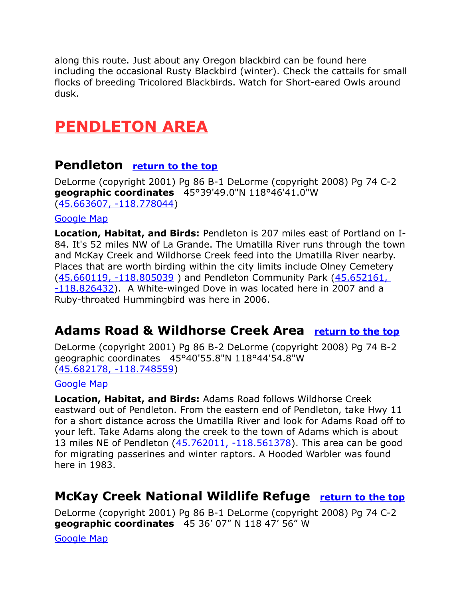along this route. Just about any Oregon blackbird can be found here including the occasional Rusty Blackbird (winter). Check the cattails for small flocks of breeding Tricolored Blackbirds. Watch for Short-eared Owls around dusk.

# <span id="page-5-3"></span>**PENDLETON AREA**

### <span id="page-5-2"></span>**Pendleton [return to the top](#page-0-0)**

DeLorme (copyright 2001) Pg 86 B-1 DeLorme (copyright 2008) Pg 74 C-2 **geographic coordinates** 45°39'49.0"N 118°46'41.0"W [\(45.663607, -118.778044\)](https://www.google.com/maps/place/45%C2%B039)

#### [Google Map](http://maps.google.com/maps/ms?hl=en&ie=UTF8&msa=0&ll=45.599146,-118.712769&spn=0.382421,1.056747&z=11&msid=108036481085398338899.00047cd5aa0191baa46b6)

**Location, Habitat, and Birds:** Pendleton is 207 miles east of Portland on I-84. It's 52 miles NW of La Grande. The Umatilla River runs through the town and McKay Creek and Wildhorse Creek feed into the Umatilla River nearby. Places that are worth birding within the city limits include Olney Cemetery (45.660119, -118.805039) and Pendleton Community Park (45.652161,  $-118.826432$ ). A White-winged Dove in was located here in 2007 and a Ruby-throated Hummingbird was here in 2006.

### <span id="page-5-1"></span>**Adams Road & Wildhorse Creek Area [return to the top](#page-0-0)**

DeLorme (copyright 2001) Pg 86 B-2 DeLorme (copyright 2008) Pg 74 B-2 geographic coordinates 45°40'55.8"N 118°44'54.8"W [\(45.682178, -118.748559\)](https://www.google.com/maps/place/45%C2%B040)

#### [Google Map](http://maps.google.com/maps/ms?hl=en&ie=UTF8&msa=0&ll=45.599146,-118.712769&spn=0.382421,1.056747&z=11&msid=108036481085398338899.00047cd5aa0191baa46b6)

**Location, Habitat, and Birds:** Adams Road follows Wildhorse Creek eastward out of Pendleton. From the eastern end of Pendleton, take Hwy 11 for a short distance across the Umatilla River and look for Adams Road off to your left. Take Adams along the creek to the town of Adams which is about 13 miles NE of Pendleton [\(45.762011, -118.561378\)](https://www.google.com/maps/place/45%C2%B045). This area can be good for migrating passerines and winter raptors. A Hooded Warbler was found here in 1983.

### <span id="page-5-0"></span>**McKay Creek National Wildlife Refuge [return to the top](#page-0-0)**

DeLorme (copyright 2001) Pg 86 B-1 DeLorme (copyright 2008) Pg 74 C-2 **geographic coordinates** 45 36' 07" N 118 47' 56" W

[Google Map](http://maps.google.com/maps/ms?hl=en&ie=UTF8&msa=0&ll=45.599146,-118.712769&spn=0.382421,1.056747&z=11&msid=108036481085398338899.00047cd5aa0191baa46b6)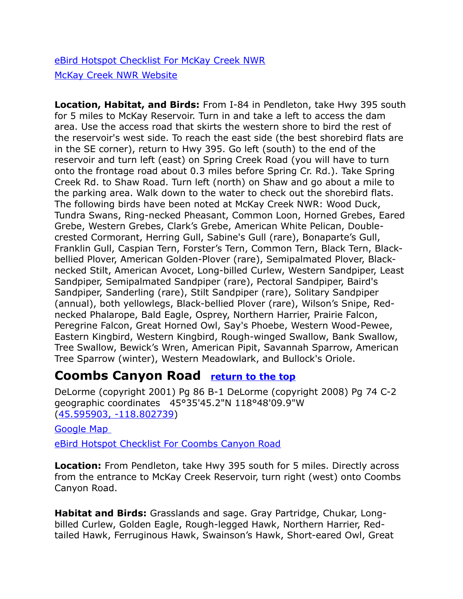[eBird Hotspot Checklist For McKay Creek NWR](http://ebird.org/ebird/hotspot/L1110433?yr=all&m=&rank=mrec) [McKay Creek NWR Website](https://www.fws.gov/refuge/mckay_creek/)

**Location, Habitat, and Birds:** From I-84 in Pendleton, take Hwy 395 south for 5 miles to McKay Reservoir. Turn in and take a left to access the dam area. Use the access road that skirts the western shore to bird the rest of the reservoir's west side. To reach the east side (the best shorebird flats are in the SE corner), return to Hwy 395. Go left (south) to the end of the reservoir and turn left (east) on Spring Creek Road (you will have to turn onto the frontage road about 0.3 miles before Spring Cr. Rd.). Take Spring Creek Rd. to Shaw Road. Turn left (north) on Shaw and go about a mile to the parking area. Walk down to the water to check out the shorebird flats. The following birds have been noted at McKay Creek NWR: Wood Duck, Tundra Swans, Ring-necked Pheasant, Common Loon, Horned Grebes, Eared Grebe, Western Grebes, Clark's Grebe, American White Pelican, Doublecrested Cormorant, Herring Gull, Sabine's Gull (rare), Bonaparte's Gull, Franklin Gull, Caspian Tern, Forster's Tern, Common Tern, Black Tern, Blackbellied Plover, American Golden-Plover (rare), Semipalmated Plover, Blacknecked Stilt, American Avocet, Long-billed Curlew, Western Sandpiper, Least Sandpiper, Semipalmated Sandpiper (rare), Pectoral Sandpiper, Baird's Sandpiper, Sanderling (rare), Stilt Sandpiper (rare), Solitary Sandpiper (annual), both yellowlegs, Black-bellied Plover (rare), Wilson's Snipe, Rednecked Phalarope, Bald Eagle, Osprey, Northern Harrier, Prairie Falcon, Peregrine Falcon, Great Horned Owl, Say's Phoebe, Western Wood-Pewee, Eastern Kingbird, Western Kingbird, Rough-winged Swallow, Bank Swallow, Tree Swallow, Bewick's Wren, American Pipit, Savannah Sparrow, American Tree Sparrow (winter), Western Meadowlark, and Bullock's Oriole.

### <span id="page-6-0"></span>**Coombs Canyon Road [return to the top](#page-0-0)**

DeLorme (copyright 2001) Pg 86 B-1 DeLorme (copyright 2008) Pg 74 C-2 geographic coordinates 45°35'45.2"N 118°48'09.9"W [\(45.595903, -118.802739\)](https://www.google.com/maps/place/45%C2%B035)

[Google Map](http://maps.google.com/maps/ms?hl=en&ie=UTF8&msa=0&ll=45.599146,-118.712769&spn=0.382421,1.056747&z=11&msid=108036481085398338899.00047cd5aa0191baa46b6) 

[eBird Hotspot Checklist For Coombs Canyon Road](file:///C:/Users/CGates/Documents/Bird%20Stuff/Wiki%20Page/Wiki2/Bird%20Finding%20Guide%20Draft%201/Paste%20Upgrade/eBird%20Hotspot%20Checklist%20For)

**Location:** From Pendleton, take Hwy 395 south for 5 miles. Directly across from the entrance to McKay Creek Reservoir, turn right (west) onto Coombs Canyon Road.

**Habitat and Birds:** Grasslands and sage. Gray Partridge, Chukar, Longbilled Curlew, Golden Eagle, Rough-legged Hawk, Northern Harrier, Redtailed Hawk, Ferruginous Hawk, Swainson's Hawk, Short-eared Owl, Great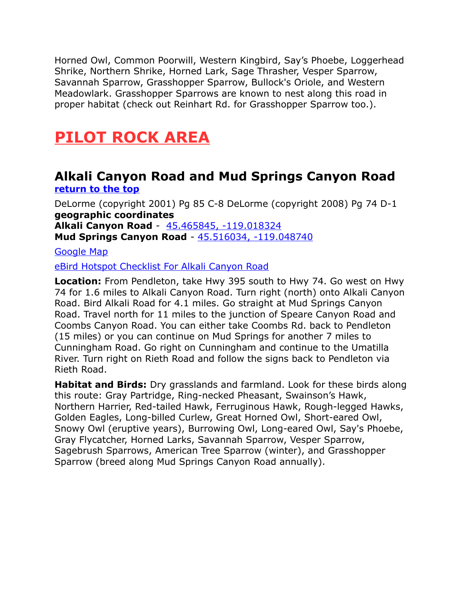Horned Owl, Common Poorwill, Western Kingbird, Say's Phoebe, Loggerhead Shrike, Northern Shrike, Horned Lark, Sage Thrasher, Vesper Sparrow, Savannah Sparrow, Grasshopper Sparrow, Bullock's Oriole, and Western Meadowlark. Grasshopper Sparrows are known to nest along this road in proper habitat (check out Reinhart Rd. for Grasshopper Sparrow too.).

# <span id="page-7-1"></span>**PILOT ROCK AREA**

### <span id="page-7-0"></span>**Alkali Canyon Road and Mud Springs Canyon Road [return to the top](#page-0-0)**

DeLorme (copyright 2001) Pg 85 C-8 DeLorme (copyright 2008) Pg 74 D-1 **geographic coordinates Alkali Canyon Road** - [45.465845, -119.018324](https://www.google.com/maps/place/45%C2%B027)  **Mud Springs Canyon Road** - [45.516034, -119.048740](https://www.google.com/maps/place/45%C2%B030)

[Google Map](http://maps.google.com/maps/ms?hl=en&ie=UTF8&msa=0&msid=108036481085398338899.00047cd5d039cab88ac43&ll=45.356005,-118.696289&spn=0.768149,2.113495&z=10)

#### [eBird Hotspot Checklist For Alkali Canyon Road](http://ebird.org/ebird/hotspot/L2799065?yr=all&m=&rank=mrec)

**Location:** From Pendleton, take Hwy 395 south to Hwy 74. Go west on Hwy 74 for 1.6 miles to Alkali Canyon Road. Turn right (north) onto Alkali Canyon Road. Bird Alkali Road for 4.1 miles. Go straight at Mud Springs Canyon Road. Travel north for 11 miles to the junction of Speare Canyon Road and Coombs Canyon Road. You can either take Coombs Rd. back to Pendleton (15 miles) or you can continue on Mud Springs for another 7 miles to Cunningham Road. Go right on Cunningham and continue to the Umatilla River. Turn right on Rieth Road and follow the signs back to Pendleton via Rieth Road.

**Habitat and Birds:** Dry grasslands and farmland. Look for these birds along this route: Gray Partridge, Ring-necked Pheasant, Swainson's Hawk, Northern Harrier, Red-tailed Hawk, Ferruginous Hawk, Rough-legged Hawks, Golden Eagles, Long-billed Curlew, Great Horned Owl, Short-eared Owl, Snowy Owl (eruptive years), Burrowing Owl, Long-eared Owl, Say's Phoebe, Gray Flycatcher, Horned Larks, Savannah Sparrow, Vesper Sparrow, Sagebrush Sparrows, American Tree Sparrow (winter), and Grasshopper Sparrow (breed along Mud Springs Canyon Road annually).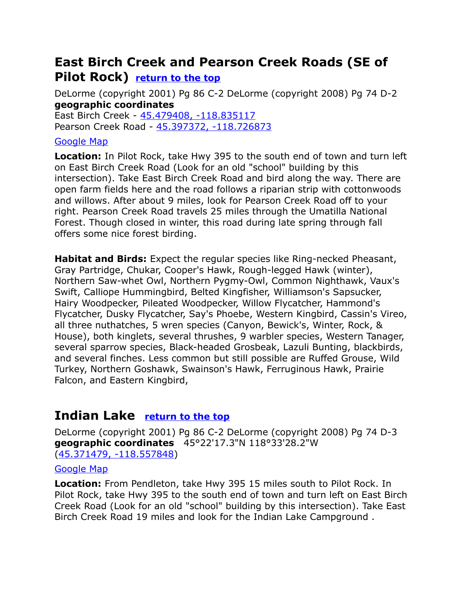### <span id="page-8-1"></span>**East Birch Creek and Pearson Creek Roads (SE of Pilot Rock) [return to the top](#page-0-0)**

DeLorme (copyright 2001) Pg 86 C-2 DeLorme (copyright 2008) Pg 74 D-2 **geographic coordinates**

East Birch Creek - [45.479408, -118.835117](https://www.google.com/maps/place/45%C2%B028)  Pearson Creek Road - [45.397372, -118.726873](https://www.google.com/maps/place/45%C2%B023) 

#### [Google Map](http://maps.google.com/maps/ms?hl=en&ie=UTF8&msa=0&msid=108036481085398338899.00047cd5d039cab88ac43&ll=45.356005,-118.696289&spn=0.768149,2.113495&z=10)

**Location:** In Pilot Rock, take Hwy 395 to the south end of town and turn left on East Birch Creek Road (Look for an old "school" building by this intersection). Take East Birch Creek Road and bird along the way. There are open farm fields here and the road follows a riparian strip with cottonwoods and willows. After about 9 miles, look for Pearson Creek Road off to your right. Pearson Creek Road travels 25 miles through the Umatilla National Forest. Though closed in winter, this road during late spring through fall offers some nice forest birding.

**Habitat and Birds:** Expect the regular species like Ring-necked Pheasant, Gray Partridge, Chukar, Cooper's Hawk, Rough-legged Hawk (winter), Northern Saw-whet Owl, Northern Pygmy-Owl, Common Nighthawk, Vaux's Swift, Calliope Hummingbird, Belted Kingfisher, Williamson's Sapsucker, Hairy Woodpecker, Pileated Woodpecker, Willow Flycatcher, Hammond's Flycatcher, Dusky Flycatcher, Say's Phoebe, Western Kingbird, Cassin's Vireo, all three nuthatches, 5 wren species (Canyon, Bewick's, Winter, Rock, & House), both kinglets, several thrushes, 9 warbler species, Western Tanager, several sparrow species, Black-headed Grosbeak, Lazuli Bunting, blackbirds, and several finches. Less common but still possible are Ruffed Grouse, Wild Turkey, Northern Goshawk, Swainson's Hawk, Ferruginous Hawk, Prairie Falcon, and Eastern Kingbird,

### <span id="page-8-0"></span>**Indian Lake [return to the top](#page-0-0)**

DeLorme (copyright 2001) Pg 86 C-2 DeLorme (copyright 2008) Pg 74 D-3 **geographic coordinates** 45°22'17.3"N 118°33'28.2"W [\(45.371479, -118.557848\)](https://www.google.com/maps/place/45%C2%B022)

#### [Google Map](http://maps.google.com/maps/ms?hl=en&ie=UTF8&msa=0&msid=108036481085398338899.00047cd5d039cab88ac43&ll=45.356005,-118.696289&spn=0.768149,2.113495&z=10)

**Location:** From Pendleton, take Hwy 395 15 miles south to Pilot Rock. In Pilot Rock, take Hwy 395 to the south end of town and turn left on East Birch Creek Road (Look for an old "school" building by this intersection). Take East Birch Creek Road 19 miles and look for the Indian Lake Campground .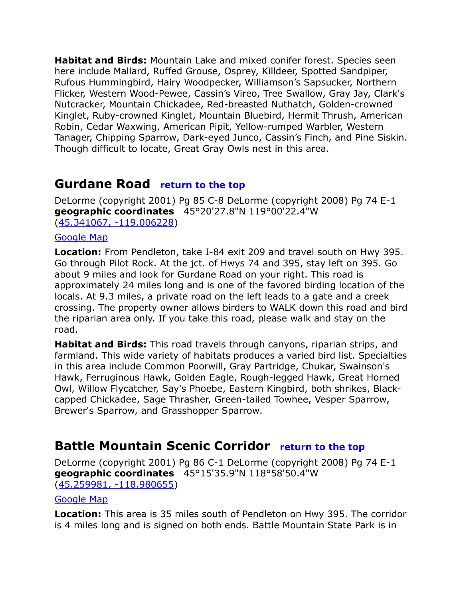**Habitat and Birds:** Mountain Lake and mixed conifer forest. Species seen here include Mallard, Ruffed Grouse, Osprey, Killdeer, Spotted Sandpiper, Rufous Hummingbird, Hairy Woodpecker, Williamson's Sapsucker, Northern Flicker, Western Wood-Pewee, Cassin's Vireo, Tree Swallow, Gray Jay, Clark's Nutcracker, Mountain Chickadee, Red-breasted Nuthatch, Golden-crowned Kinglet, Ruby-crowned Kinglet, Mountain Bluebird, Hermit Thrush, American Robin, Cedar Waxwing, American Pipit, Yellow-rumped Warbler, Western Tanager, Chipping Sparrow, Dark-eyed Junco, Cassin's Finch, and Pine Siskin. Though difficult to locate, Great Gray Owls nest in this area.

### <span id="page-9-0"></span>**Gurdane Road [return to the top](#page-0-0)**

DeLorme (copyright 2001) Pg 85 C-8 DeLorme (copyright 2008) Pg 74 E-1 **geographic coordinates** 45°20'27.8"N 119°00'22.4"W [\(45.341067, -119.006228\)](https://www.google.com/maps/place/45%C2%B020)

#### [Google Map](http://maps.google.com/maps/ms?hl=en&ie=UTF8&msa=0&ll=45.282375,-118.850784&spn=0.192287,0.528374&z=12&msid=108036481085398338899.00047c2826c98416a2cdc)

**Location:** From Pendleton, take I-84 exit 209 and travel south on Hwy 395. Go through Pilot Rock. At the jct. of Hwys 74 and 395, stay left on 395. Go about 9 miles and look for Gurdane Road on your right. This road is approximately 24 miles long and is one of the favored birding location of the locals. At 9.3 miles, a private road on the left leads to a gate and a creek crossing. The property owner allows birders to WALK down this road and bird the riparian area only. If you take this road, please walk and stay on the road.

**Habitat and Birds:** This road travels through canyons, riparian strips, and farmland. This wide variety of habitats produces a varied bird list. Specialties in this area include Common Poorwill, Gray Partridge, Chukar, Swainson's Hawk, Ferruginous Hawk, Golden Eagle, Rough-legged Hawk, Great Horned Owl, Willow Flycatcher, Say's Phoebe, Eastern Kingbird, both shrikes, Blackcapped Chickadee, Sage Thrasher, Green-tailed Towhee, Vesper Sparrow, Brewer's Sparrow, and Grasshopper Sparrow.

### <span id="page-9-1"></span>**Battle Mountain Scenic Corridor [return to the top](#page-0-0)**

DeLorme (copyright 2001) Pg 86 C-1 DeLorme (copyright 2008) Pg 74 E-1 **geographic coordinates** 45°15'35.9"N 118°58'50.4"W

[\(45.259981, -118.980655\)](https://www.google.com/maps/place/45%C2%B015)

#### [Google Map](http://maps.google.com/maps/ms?hl=en&ie=UTF8&msa=0&ll=45.282375,-118.850784&spn=0.192287,0.528374&z=12&msid=108036481085398338899.00047c2826c98416a2cdc)

**Location:** This area is 35 miles south of Pendleton on Hwy 395. The corridor is 4 miles long and is signed on both ends. Battle Mountain State Park is in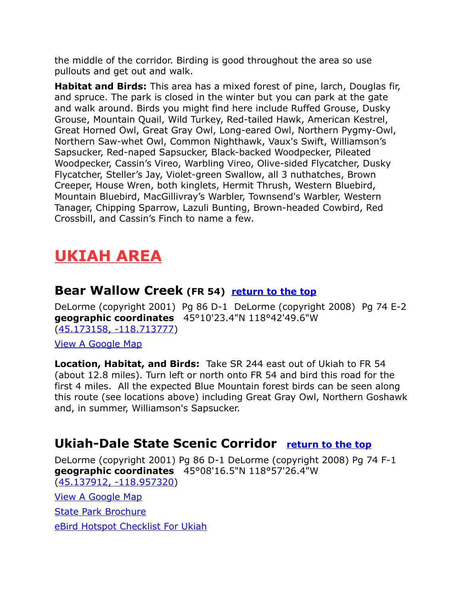the middle of the corridor. Birding is good throughout the area so use pullouts and get out and walk.

**Habitat and Birds:** This area has a mixed forest of pine, larch, Douglas fir, and spruce. The park is closed in the winter but you can park at the gate and walk around. Birds you might find here include Ruffed Grouse, Dusky Grouse, Mountain Quail, Wild Turkey, Red-tailed Hawk, American Kestrel, Great Horned Owl, Great Gray Owl, Long-eared Owl, Northern Pygmy-Owl, Northern Saw-whet Owl, Common Nighthawk, Vaux's Swift, Williamson's Sapsucker, Red-naped Sapsucker, Black-backed Woodpecker, Pileated Woodpecker, Cassin's Vireo, Warbling Vireo, Olive-sided Flycatcher, Dusky Flycatcher, Steller's Jay, Violet-green Swallow, all 3 nuthatches, Brown Creeper, House Wren, both kinglets, Hermit Thrush, Western Bluebird, Mountain Bluebird, MacGillivray's Warbler, Townsend's Warbler, Western Tanager, Chipping Sparrow, Lazuli Bunting, Brown-headed Cowbird, Red Crossbill, and Cassin's Finch to name a few.

# <span id="page-10-2"></span>**UKIAH AREA**

### <span id="page-10-1"></span>**Bear Wallow Creek (FR 54) [return to the top](#page-0-0)**

DeLorme (copyright 2001) Pg 86 D-1 DeLorme (copyright 2008) Pg 74 E-2 **geographic coordinates** 45°10'23.4"N 118°42'49.6"W [\(45.173158, -118.713777\)](https://www.google.com/maps/place/45%C2%B010)

[View A Google Map](http://maps.google.com/maps/ms?hl=en&ie=UTF8&msa=0&ll=45.154927,-118.814392&spn=0.385437,1.056747&z=11&msid=108036481085398338899.00047e98223992a52faae)

**Location, Habitat, and Birds:** Take SR 244 east out of Ukiah to FR 54 (about 12.8 miles). Turn left or north onto FR 54 and bird this road for the first 4 miles. All the expected Blue Mountain forest birds can be seen along this route (see locations above) including Great Gray Owl, Northern Goshawk and, in summer, Williamson's Sapsucker.

### <span id="page-10-0"></span>**Ukiah-Dale State Scenic Corridor [return to the top](#page-0-0)**

DeLorme (copyright 2001) Pg 86 D-1 DeLorme (copyright 2008) Pg 74 F-1 **geographic coordinates** 45°08'16.5"N 118°57'26.4"W [\(45.137912, -118.957320\)](https://www.google.com/maps/place/45%C2%B008)

[View A Google Map](http://maps.google.com/maps/ms?hl=en&ie=UTF8&msa=0&ll=45.154927,-118.814392&spn=0.385437,1.056747&z=11&msid=108036481085398338899.00047e98223992a52faae)

[State Park Brochure](http://oregonstateparks.org/index.cfm?do=parkPage.dsp_parkPage&parkId=150)

[eBird Hotspot Checklist For Ukiah](http://ebird.org/ebird/hotspot/L2071439?yr=all&m=&rank=mrec)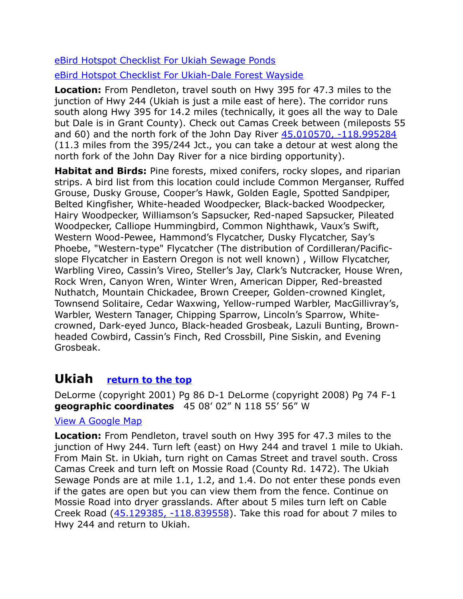[eBird Hotspot Checklist For Ukiah Sewage Ponds](http://ebird.org/ebird/hotspot/L2261613?yr=all&m=&rank=mrec)

[eBird Hotspot Checklist For Ukiah-Dale Forest Wayside](http://ebird.org/ebird/hotspot/L346667?yr=all&m=&rank=mrec)

**Location:** From Pendleton, travel south on Hwy 395 for 47.3 miles to the junction of Hwy 244 (Ukiah is just a mile east of here). The corridor runs south along Hwy 395 for 14.2 miles (technically, it goes all the way to Dale but Dale is in Grant County). Check out Camas Creek between (mileposts 55 and 60) and the north fork of the John Day River 45.010570, -118.995284 (11.3 miles from the 395/244 Jct., you can take a detour at west along the north fork of the John Day River for a nice birding opportunity).

**Habitat and Birds:** Pine forests, mixed conifers, rocky slopes, and riparian strips. A bird list from this location could include Common Merganser, Ruffed Grouse, Dusky Grouse, Cooper's Hawk, Golden Eagle, Spotted Sandpiper, Belted Kingfisher, White-headed Woodpecker, Black-backed Woodpecker, Hairy Woodpecker, Williamson's Sapsucker, Red-naped Sapsucker, Pileated Woodpecker, Calliope Hummingbird, Common Nighthawk, Vaux's Swift, Western Wood-Pewee, Hammond's Flycatcher, Dusky Flycatcher, Say's Phoebe, "Western-type" Flycatcher (The distribution of Cordilleran/Pacificslope Flycatcher in Eastern Oregon is not well known) , Willow Flycatcher, Warbling Vireo, Cassin's Vireo, Steller's Jay, Clark's Nutcracker, House Wren, Rock Wren, Canyon Wren, Winter Wren, American Dipper, Red-breasted Nuthatch, Mountain Chickadee, Brown Creeper, Golden-crowned Kinglet, Townsend Solitaire, Cedar Waxwing, Yellow-rumped Warbler, MacGillivray's, Warbler, Western Tanager, Chipping Sparrow, Lincoln's Sparrow, Whitecrowned, Dark-eyed Junco, Black-headed Grosbeak, Lazuli Bunting, Brownheaded Cowbird, Cassin's Finch, Red Crossbill, Pine Siskin, and Evening Grosbeak.

### <span id="page-11-0"></span>**Ukiah [return to the top](#page-0-0)**

DeLorme (copyright 2001) Pg 86 D-1 DeLorme (copyright 2008) Pg 74 F-1 **geographic coordinates** 45 08' 02" N 118 55' 56" W

#### [View A Google Map](http://maps.google.com/maps/ms?hl=en&ie=UTF8&msa=0&ll=45.154927,-118.814392&spn=0.385437,1.056747&z=11&msid=108036481085398338899.00047e98223992a52faae)

**Location:** From Pendleton, travel south on Hwy 395 for 47.3 miles to the junction of Hwy 244. Turn left (east) on Hwy 244 and travel 1 mile to Ukiah. From Main St. in Ukiah, turn right on Camas Street and travel south. Cross Camas Creek and turn left on Mossie Road (County Rd. 1472). The Ukiah Sewage Ponds are at mile 1.1, 1.2, and 1.4. Do not enter these ponds even if the gates are open but you can view them from the fence. Continue on Mossie Road into dryer grasslands. After about 5 miles turn left on Cable Creek Road [\(45.129385, -118.839558\)](https://www.google.com/maps/place/45%C2%B007). Take this road for about 7 miles to Hwy 244 and return to Ukiah.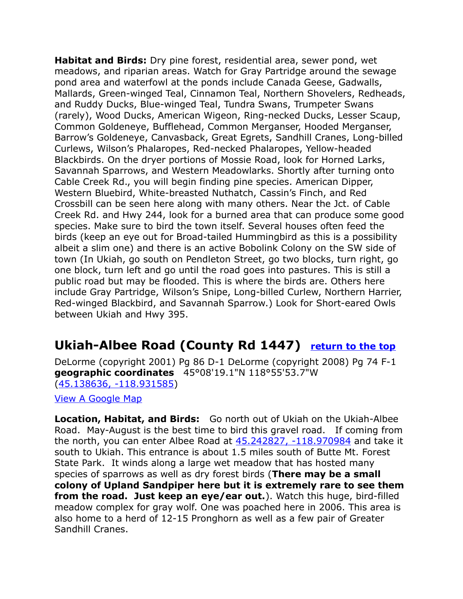**Habitat and Birds:** Dry pine forest, residential area, sewer pond, wet meadows, and riparian areas. Watch for Gray Partridge around the sewage pond area and waterfowl at the ponds include Canada Geese, Gadwalls, Mallards, Green-winged Teal, Cinnamon Teal, Northern Shovelers, Redheads, and Ruddy Ducks, Blue-winged Teal, Tundra Swans, Trumpeter Swans (rarely), Wood Ducks, American Wigeon, Ring-necked Ducks, Lesser Scaup, Common Goldeneye, Bufflehead, Common Merganser, Hooded Merganser, Barrow's Goldeneye, Canvasback, Great Egrets, Sandhill Cranes, Long-billed Curlews, Wilson's Phalaropes, Red-necked Phalaropes, Yellow-headed Blackbirds. On the dryer portions of Mossie Road, look for Horned Larks, Savannah Sparrows, and Western Meadowlarks. Shortly after turning onto Cable Creek Rd., you will begin finding pine species. American Dipper, Western Bluebird, White-breasted Nuthatch, Cassin's Finch, and Red Crossbill can be seen here along with many others. Near the Jct. of Cable Creek Rd. and Hwy 244, look for a burned area that can produce some good species. Make sure to bird the town itself. Several houses often feed the birds (keep an eye out for Broad-tailed Hummingbird as this is a possibility albeit a slim one) and there is an active Bobolink Colony on the SW side of town (In Ukiah, go south on Pendleton Street, go two blocks, turn right, go one block, turn left and go until the road goes into pastures. This is still a public road but may be flooded. This is where the birds are. Others here include Gray Partridge, Wilson's Snipe, Long-billed Curlew, Northern Harrier, Red-winged Blackbird, and Savannah Sparrow.) Look for Short-eared Owls between Ukiah and Hwy 395.

### **Ukiah-Albee Road (County Rd 1447) [return to the top](#page-0-0)**

DeLorme (copyright 2001) Pg 86 D-1 DeLorme (copyright 2008) Pg 74 F-1 **geographic coordinates** 45°08'19.1"N 118°55'53.7"W [\(45.138636, -118.931585\)](https://www.google.com/maps/place/45%C2%B008)

[View A Google Map](http://maps.google.com/maps/ms?hl=en&ie=UTF8&msa=0&ll=45.154927,-118.814392&spn=0.385437,1.056747&z=11&msid=108036481085398338899.00047e98223992a52faae)

**Location, Habitat, and Birds:** Go north out of Ukiah on the Ukiah-Albee Road. May-August is the best time to bird this gravel road. If coming from the north, you can enter Albee Road at  $45.242827$ ,  $-118.970984$  and take it south to Ukiah. This entrance is about 1.5 miles south of Butte Mt. Forest State Park. It winds along a large wet meadow that has hosted many species of sparrows as well as dry forest birds (**There may be a small colony of Upland Sandpiper here but it is extremely rare to see them from the road. Just keep an eye/ear out.**). Watch this huge, bird-filled meadow complex for gray wolf. One was poached here in 2006. This area is also home to a herd of 12-15 Pronghorn as well as a few pair of Greater Sandhill Cranes.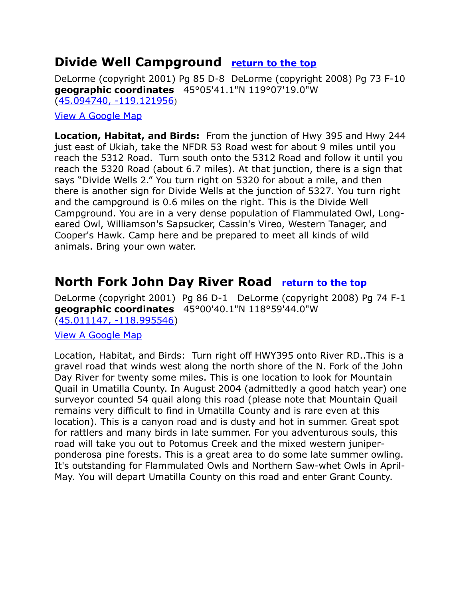### <span id="page-13-0"></span>**Divide Well Campground [return to the top](#page-0-0)**

DeLorme (copyright 2001) Pg 85 D-8 DeLorme (copyright 2008) Pg 73 F-10 **geographic coordinates** 45°05'41.1"N 119°07'19.0"W [\(45.094740, -119.121956](https://www.google.com/maps/place/45%C2%B005))

#### [View A Google Map](http://maps.google.com/maps/ms?hl=en&ie=UTF8&msa=0&ll=45.154927,-118.814392&spn=0.385437,1.056747&z=11&msid=108036481085398338899.00047e98223992a52faae)

**Location, Habitat, and Birds:** From the junction of Hwy 395 and Hwy 244 just east of Ukiah, take the NFDR 53 Road west for about 9 miles until you reach the 5312 Road. Turn south onto the 5312 Road and follow it until you reach the 5320 Road (about 6.7 miles). At that junction, there is a sign that says "Divide Wells 2." You turn right on 5320 for about a mile, and then there is another sign for Divide Wells at the junction of 5327. You turn right and the campground is 0.6 miles on the right. This is the Divide Well Campground. You are in a very dense population of Flammulated Owl, Longeared Owl, Williamson's Sapsucker, Cassin's Vireo, Western Tanager, and Cooper's Hawk. Camp here and be prepared to meet all kinds of wild animals. Bring your own water.

### <span id="page-13-1"></span>**North Fork John Day River Road [return to the top](#page-0-0)**

DeLorme (copyright 2001) Pg 86 D-1 DeLorme (copyright 2008) Pg 74 F-1 **geographic coordinates** 45°00'40.1"N 118°59'44.0"W [\(45.011147, -118.995546\)](https://www.google.com/maps/place/45%C2%B000)

#### [View A Google Map](http://maps.google.com/maps/ms?hl=en&ie=UTF8&msa=0&ll=45.154927,-118.814392&spn=0.385437,1.056747&z=11&msid=108036481085398338899.00047e98223992a52faae)

Location, Habitat, and Birds: Turn right off HWY395 onto River RD..This is a gravel road that winds west along the north shore of the N. Fork of the John Day River for twenty some miles. This is one location to look for Mountain Quail in Umatilla County. In August 2004 (admittedly a good hatch year) one surveyor counted 54 quail along this road (please note that Mountain Quail remains very difficult to find in Umatilla County and is rare even at this location). This is a canyon road and is dusty and hot in summer. Great spot for rattlers and many birds in late summer. For you adventurous souls, this road will take you out to Potomus Creek and the mixed western juniperponderosa pine forests. This is a great area to do some late summer owling. It's outstanding for Flammulated Owls and Northern Saw-whet Owls in April-May. You will depart Umatilla County on this road and enter Grant County.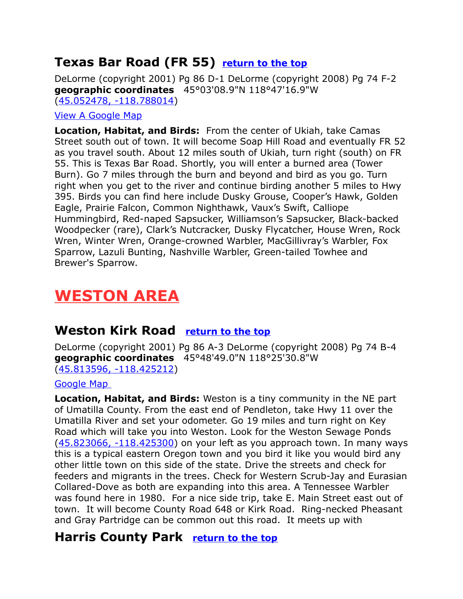### <span id="page-14-0"></span>**Texas Bar Road (FR 55) [return to the top](#page-0-0)**

DeLorme (copyright 2001) Pg 86 D-1 DeLorme (copyright 2008) Pg 74 F-2 **geographic coordinates** 45°03'08.9"N 118°47'16.9"W [\(45.052478, -118.788014\)](https://www.google.com/maps/place/45%C2%B003)

#### [View A Google Map](http://maps.google.com/maps/ms?hl=en&ie=UTF8&msa=0&ll=45.154927,-118.814392&spn=0.385437,1.056747&z=11&msid=108036481085398338899.00047e98223992a52faae)

**Location, Habitat, and Birds:** From the center of Ukiah, take Camas Street south out of town. It will become Soap Hill Road and eventually FR 52 as you travel south. About 12 miles south of Ukiah, turn right (south) on FR 55. This is Texas Bar Road. Shortly, you will enter a burned area (Tower Burn). Go 7 miles through the burn and beyond and bird as you go. Turn right when you get to the river and continue birding another 5 miles to Hwy 395. Birds you can find here include Dusky Grouse, Cooper's Hawk, Golden Eagle, Prairie Falcon, Common Nighthawk, Vaux's Swift, Calliope Hummingbird, Red-naped Sapsucker, Williamson's Sapsucker, Black-backed Woodpecker (rare), Clark's Nutcracker, Dusky Flycatcher, House Wren, Rock Wren, Winter Wren, Orange-crowned Warbler, MacGillivray's Warbler, Fox Sparrow, Lazuli Bunting, Nashville Warbler, Green-tailed Towhee and Brewer's Sparrow.

# <span id="page-14-3"></span>**WESTON AREA**

### <span id="page-14-2"></span>**Weston Kirk Road [return to the top](#page-0-0)**

DeLorme (copyright 2001) Pg 86 A-3 DeLorme (copyright 2008) Pg 74 B-4 **geographic coordinates** 45°48'49.0"N 118°25'30.8"W [\(45.813596, -118.425212\)](https://www.google.com/maps/place/45%C2%B048)

#### [Google Map](http://maps.google.com/maps/ms?hl=en&ie=UTF8&msa=0&ll=45.809658,-118.070068&spn=0.761967,2.113495&z=10&msid=108036481085398338899.00047cd5b83b1ce4f0be9)

**Location, Habitat, and Birds:** Weston is a tiny community in the NE part of Umatilla County. From the east end of Pendleton, take Hwy 11 over the Umatilla River and set your odometer. Go 19 miles and turn right on Key Road which will take you into Weston. Look for the Weston Sewage Ponds  $(45.823066, -118.425300)$  on your left as you approach town. In many ways this is a typical eastern Oregon town and you bird it like you would bird any other little town on this side of the state. Drive the streets and check for feeders and migrants in the trees. Check for Western Scrub-Jay and Eurasian Collared-Dove as both are expanding into this area. A Tennessee Warbler was found here in 1980. For a nice side trip, take E. Main Street east out of town. It will become County Road 648 or Kirk Road. Ring-necked Pheasant and Gray Partridge can be common out this road. It meets up with

### <span id="page-14-1"></span>**Harris County Park [return to the top](#page-0-0)**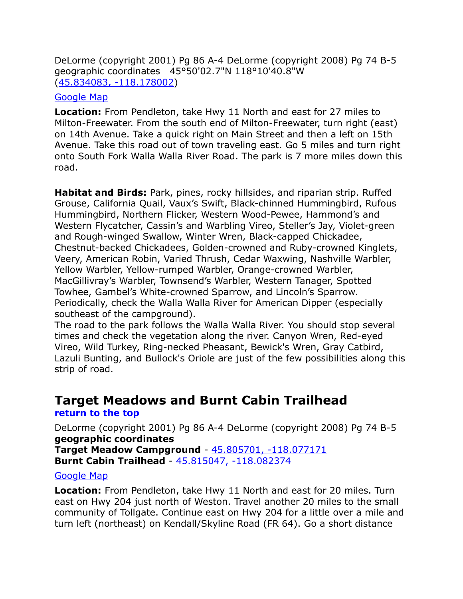DeLorme (copyright 2001) Pg 86 A-4 DeLorme (copyright 2008) Pg 74 B-5 geographic coordinates 45°50'02.7"N 118°10'40.8"W [\(45.834083, -118.178002\)](https://www.google.com/maps/place/45%C2%B050)

#### [Google Map](http://maps.google.com/maps/ms?hl=en&ie=UTF8&msa=0&ll=45.809658,-118.070068&spn=0.761967,2.113495&z=10&msid=108036481085398338899.00047cd5b83b1ce4f0be9)

**Location:** From Pendleton, take Hwy 11 North and east for 27 miles to Milton-Freewater. From the south end of Milton-Freewater, turn right (east) on 14th Avenue. Take a quick right on Main Street and then a left on 15th Avenue. Take this road out of town traveling east. Go 5 miles and turn right onto South Fork Walla Walla River Road. The park is 7 more miles down this road.

**Habitat and Birds:** Park, pines, rocky hillsides, and riparian strip. Ruffed Grouse, California Quail, Vaux's Swift, Black-chinned Hummingbird, Rufous Hummingbird, Northern Flicker, Western Wood-Pewee, Hammond's and Western Flycatcher, Cassin's and Warbling Vireo, Steller's Jay, Violet-green and Rough-winged Swallow, Winter Wren, Black-capped Chickadee, Chestnut-backed Chickadees, Golden-crowned and Ruby-crowned Kinglets, Veery, American Robin, Varied Thrush, Cedar Waxwing, Nashville Warbler, Yellow Warbler, Yellow-rumped Warbler, Orange-crowned Warbler, MacGillivray's Warbler, Townsend's Warbler, Western Tanager, Spotted Towhee, Gambel's White-crowned Sparrow, and Lincoln's Sparrow. Periodically, check the Walla Walla River for American Dipper (especially southeast of the campground).

The road to the park follows the Walla Walla River. You should stop several times and check the vegetation along the river. Canyon Wren, Red-eyed Vireo, Wild Turkey, Ring-necked Pheasant, Bewick's Wren, Gray Catbird, Lazuli Bunting, and Bullock's Oriole are just of the few possibilities along this strip of road.

### <span id="page-15-0"></span>**Target Meadows and Burnt Cabin Trailhead**

#### **[return to the top](#page-0-0)**

DeLorme (copyright 2001) Pg 86 A-4 DeLorme (copyright 2008) Pg 74 B-5 **geographic coordinates Target Meadow Campground** - [45.805701, -118.077171](https://www.google.com/maps/place/45%C2%B048)  **Burnt Cabin Trailhead** - [45.815047, -118.082374](https://www.google.com/maps/place/45%C2%B048)

#### [Google Map](http://maps.google.com/maps/ms?hl=en&ie=UTF8&msa=0&ll=45.809658,-118.070068&spn=0.761967,2.113495&z=10&msid=108036481085398338899.00047cd5b83b1ce4f0be9)

**Location:** From Pendleton, take Hwy 11 North and east for 20 miles. Turn east on Hwy 204 just north of Weston. Travel another 20 miles to the small community of Tollgate. Continue east on Hwy 204 for a little over a mile and turn left (northeast) on Kendall/Skyline Road (FR 64). Go a short distance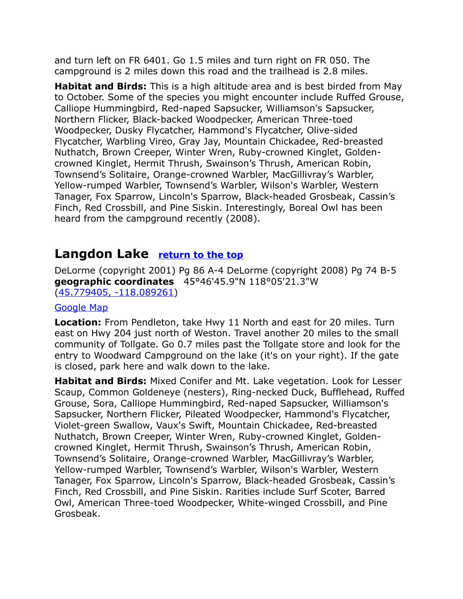and turn left on FR 6401. Go 1.5 miles and turn right on FR 050. The campground is 2 miles down this road and the trailhead is 2.8 miles.

**Habitat and Birds:** This is a high altitude area and is best birded from May to October. Some of the species you might encounter include Ruffed Grouse, Calliope Hummingbird, Red-naped Sapsucker, Williamson's Sapsucker, Northern Flicker, Black-backed Woodpecker, American Three-toed Woodpecker, Dusky Flycatcher, Hammond's Flycatcher, Olive-sided Flycatcher, Warbling Vireo, Gray Jay, Mountain Chickadee, Red-breasted Nuthatch, Brown Creeper, Winter Wren, Ruby-crowned Kinglet, Goldencrowned Kinglet, Hermit Thrush, Swainson's Thrush, American Robin, Townsend's Solitaire, Orange-crowned Warbler, MacGillivray's Warbler, Yellow-rumped Warbler, Townsend's Warbler, Wilson's Warbler, Western Tanager, Fox Sparrow, Lincoln's Sparrow, Black-headed Grosbeak, Cassin's Finch, Red Crossbill, and Pine Siskin. Interestingly, Boreal Owl has been heard from the campground recently (2008).

### <span id="page-16-0"></span>**Langdon Lake [return to the top](#page-0-0)**

DeLorme (copyright 2001) Pg 86 A-4 DeLorme (copyright 2008) Pg 74 B-5 **geographic coordinates** 45°46'45.9"N 118°05'21.3"W [\(45.779405, -118.089261\)](https://www.google.com/maps/place/45%C2%B046)

#### [Google Map](http://maps.google.com/maps/ms?hl=en&ie=UTF8&msa=0&ll=45.809658,-118.070068&spn=0.761967,2.113495&z=10&msid=108036481085398338899.00047cd5b83b1ce4f0be9)

**Location:** From Pendleton, take Hwy 11 North and east for 20 miles. Turn east on Hwy 204 just north of Weston. Travel another 20 miles to the small community of Tollgate. Go 0.7 miles past the Tollgate store and look for the entry to Woodward Campground on the lake (it's on your right). If the gate is closed, park here and walk down to the lake.

**Habitat and Birds:** Mixed Conifer and Mt. Lake vegetation. Look for Lesser Scaup, Common Goldeneye (nesters), Ring-necked Duck, Bufflehead, Ruffed Grouse, Sora, Calliope Hummingbird, Red-naped Sapsucker, Williamson's Sapsucker, Northern Flicker, Pileated Woodpecker, Hammond's Flycatcher, Violet-green Swallow, Vaux's Swift, Mountain Chickadee, Red-breasted Nuthatch, Brown Creeper, Winter Wren, Ruby-crowned Kinglet, Goldencrowned Kinglet, Hermit Thrush, Swainson's Thrush, American Robin, Townsend's Solitaire, Orange-crowned Warbler, MacGillivray's Warbler, Yellow-rumped Warbler, Townsend's Warbler, Wilson's Warbler, Western Tanager, Fox Sparrow, Lincoln's Sparrow, Black-headed Grosbeak, Cassin's Finch, Red Crossbill, and Pine Siskin. Rarities include Surf Scoter, Barred Owl, American Three-toed Woodpecker, White-winged Crossbill, and Pine Grosbeak.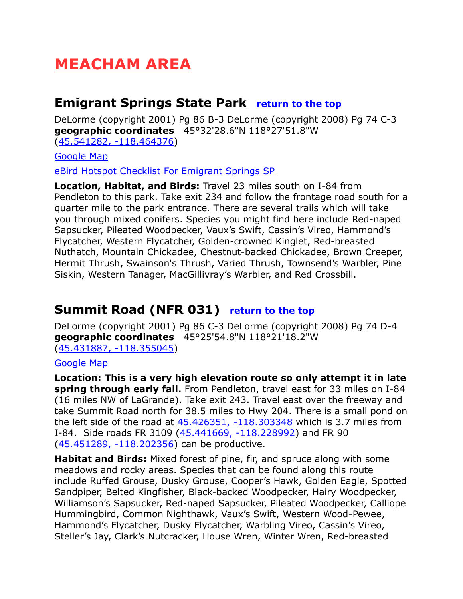# **MEACHAM AREA**

### <span id="page-17-1"></span>**Emigrant Springs State Park [return to the top](#page-0-0)**

DeLorme (copyright 2001) Pg 86 B-3 DeLorme (copyright 2008) Pg 74 C-3 **geographic coordinates** 45°32'28.6"N 118°27'51.8"W [\(45.541282, -118.464376\)](https://www.google.com/maps/place/45%C2%B032)

[Google Map](http://maps.google.com/maps/ms?hl=en&ie=UTF8&msa=0&ll=45.431226,-118.152466&spn=0.767127,2.113495&z=10&msid=108036481085398338899.00047cd5c7830a448f384)

[eBird Hotspot Checklist For Emigrant Springs SP](http://ebird.org/ebird/hotspot/L1631070?yr=all&m=&rank=mrec)

**Location, Habitat, and Birds:** Travel 23 miles south on I-84 from Pendleton to this park. Take exit 234 and follow the frontage road south for a quarter mile to the park entrance. There are several trails which will take you through mixed conifers. Species you might find here include Red-naped Sapsucker, Pileated Woodpecker, Vaux's Swift, Cassin's Vireo, Hammond's Flycatcher, Western Flycatcher, Golden-crowned Kinglet, Red-breasted Nuthatch, Mountain Chickadee, Chestnut-backed Chickadee, Brown Creeper, Hermit Thrush, Swainson's Thrush, Varied Thrush, Townsend's Warbler, Pine Siskin, Western Tanager, MacGillivray's Warbler, and Red Crossbill.

### <span id="page-17-0"></span>**Summit Road (NFR 031) [return to the top](#page-0-0)**

DeLorme (copyright 2001) Pg 86 C-3 DeLorme (copyright 2008) Pg 74 D-4 **geographic coordinates** 45°25'54.8"N 118°21'18.2"W [\(45.431887, -118.355045\)](https://www.google.com/maps/place/45%C2%B025)

#### [Google Map](http://maps.google.com/maps/ms?hl=en&ie=UTF8&msa=0&ll=45.431226,-118.152466&spn=0.767127,2.113495&z=10&msid=108036481085398338899.00047cd5c7830a448f384)

**Location: This is a very high elevation route so only attempt it in late spring through early fall.** From Pendleton, travel east for 33 miles on I-84 (16 miles NW of LaGrande). Take exit 243. Travel east over the freeway and take Summit Road north for 38.5 miles to Hwy 204. There is a small pond on the left side of the road at  $45.426351$ ,  $-118.303348$  which is 3.7 miles from I-84. Side roads FR 3109 [\(45.441669, -118.228992\)](https://www.google.com/maps/place/45%C2%B026) and FR 90 [\(45.451289, -118.202356\)](https://www.google.com/maps/place/45%C2%B027) can be productive.

**Habitat and Birds:** Mixed forest of pine, fir, and spruce along with some meadows and rocky areas. Species that can be found along this route include Ruffed Grouse, Dusky Grouse, Cooper's Hawk, Golden Eagle, Spotted Sandpiper, Belted Kingfisher, Black-backed Woodpecker, Hairy Woodpecker, Williamson's Sapsucker, Red-naped Sapsucker, Pileated Woodpecker, Calliope Hummingbird, Common Nighthawk, Vaux's Swift, Western Wood-Pewee, Hammond's Flycatcher, Dusky Flycatcher, Warbling Vireo, Cassin's Vireo, Steller's Jay, Clark's Nutcracker, House Wren, Winter Wren, Red-breasted